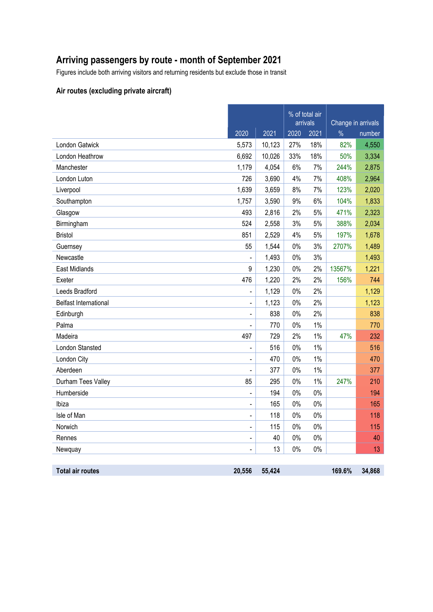## **Arriving passengers by route - month of September 2021**

Figures include both arriving visitors and returning residents but exclude those in transit

### **Air routes (excluding private aircraft)**

|                              |                |        | % of total air<br>arrivals |       | Change in arrivals |        |
|------------------------------|----------------|--------|----------------------------|-------|--------------------|--------|
|                              | 2020           | 2021   | 2020                       | 2021  | $\%$               | number |
| London Gatwick               | 5,573          | 10,123 | 27%                        | 18%   | 82%                | 4,550  |
| London Heathrow              | 6,692          | 10,026 | 33%                        | 18%   | 50%                | 3,334  |
| Manchester                   | 1,179          | 4,054  | 6%                         | 7%    | 244%               | 2,875  |
| London Luton                 | 726            | 3,690  | 4%                         | 7%    | 408%               | 2,964  |
| Liverpool                    | 1,639          | 3,659  | 8%                         | 7%    | 123%               | 2,020  |
| Southampton                  | 1,757          | 3,590  | 9%                         | 6%    | 104%               | 1,833  |
| Glasgow                      | 493            | 2,816  | 2%                         | 5%    | 471%               | 2,323  |
| Birmingham                   | 524            | 2,558  | 3%                         | 5%    | 388%               | 2,034  |
| <b>Bristol</b>               | 851            | 2,529  | 4%                         | $5%$  | 197%               | 1,678  |
| Guernsey                     | 55             | 1,544  | $0\%$                      | 3%    | 2707%              | 1,489  |
| Newcastle                    |                | 1,493  | $0\%$                      | 3%    |                    | 1,493  |
| <b>East Midlands</b>         | 9              | 1,230  | $0\%$                      | 2%    | 13567%             | 1,221  |
| Exeter                       | 476            | 1,220  | 2%                         | 2%    | 156%               | 744    |
| Leeds Bradford               |                | 1,129  | $0\%$                      | 2%    |                    | 1,129  |
| <b>Belfast International</b> | $\blacksquare$ | 1,123  | $0\%$                      | 2%    |                    | 1,123  |
| Edinburgh                    |                | 838    | $0\%$                      | 2%    |                    | 838    |
| Palma                        | $\blacksquare$ | 770    | $0\%$                      | 1%    |                    | 770    |
| Madeira                      | 497            | 729    | 2%                         | 1%    | 47%                | 232    |
| London Stansted              | $\blacksquare$ | 516    | $0\%$                      | 1%    |                    | 516    |
| London City                  | $\blacksquare$ | 470    | 0%                         | 1%    |                    | 470    |
| Aberdeen                     |                | 377    | $0\%$                      | 1%    |                    | 377    |
| Durham Tees Valley           | 85             | 295    | $0\%$                      | $1\%$ | 247%               | 210    |
| Humberside                   |                | 194    | $0\%$                      | $0\%$ |                    | 194    |
| Ibiza                        | $\blacksquare$ | 165    | $0\%$                      | 0%    |                    | 165    |
| Isle of Man                  | $\blacksquare$ | 118    | $0\%$                      | $0\%$ |                    | 118    |
| Norwich                      |                | 115    | $0\%$                      | $0\%$ |                    | 115    |
| Rennes                       | $\blacksquare$ | 40     | $0\%$                      | 0%    |                    | 40     |
| Newquay                      |                | 13     | $0\%$                      | 0%    |                    | 13     |
|                              |                |        |                            |       |                    |        |
| <b>Total air routes</b>      | 20,556         | 55,424 |                            |       | 169.6%             | 34,868 |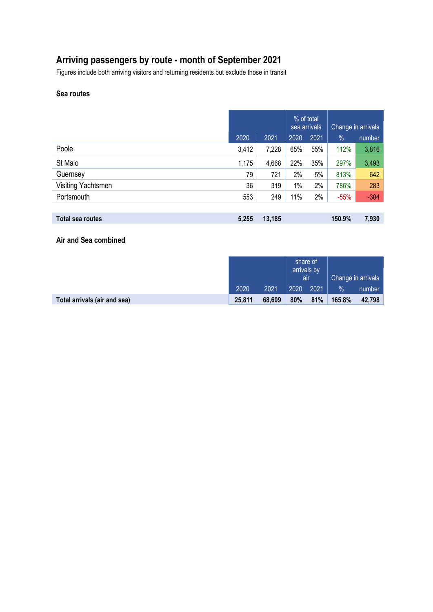# **Arriving passengers by route - month of September 2021**

Figures include both arriving visitors and returning residents but exclude those in transit

### **Sea routes**

|                    |       |        | % of total<br>sea arrivals |      | Change in arrivals |        |
|--------------------|-------|--------|----------------------------|------|--------------------|--------|
|                    | 2020  | 2021   | 2020                       | 2021 | $\%$               | number |
| Poole              | 3,412 | 7,228  | 65%                        | 55%  | 112%               | 3,816  |
| St Malo            | 1,175 | 4,668  | 22%                        | 35%  | 297%               | 3,493  |
| Guernsey           | 79    | 721    | 2%                         | 5%   | 813%               | 642    |
| Visiting Yachtsmen | 36    | 319    | $1\%$                      | 2%   | 786%               | 283    |
| Portsmouth         | 553   | 249    | 11%                        | 2%   | $-55%$             | $-304$ |
|                    |       |        |                            |      |                    |        |
| Total sea routes   | 5,255 | 13,185 |                            |      | 150.9%             | 7,930  |

**Air and Sea combined**

|                              |        |        | share of<br>arrivals by<br>air |      | Change in arrivals |        |
|------------------------------|--------|--------|--------------------------------|------|--------------------|--------|
|                              | 2020   | 2021   | 2020                           | 2021 | $\%$               | number |
| Total arrivals (air and sea) | 25,811 | 68,609 | 80%                            | 81%  | 165.8%             | 42.798 |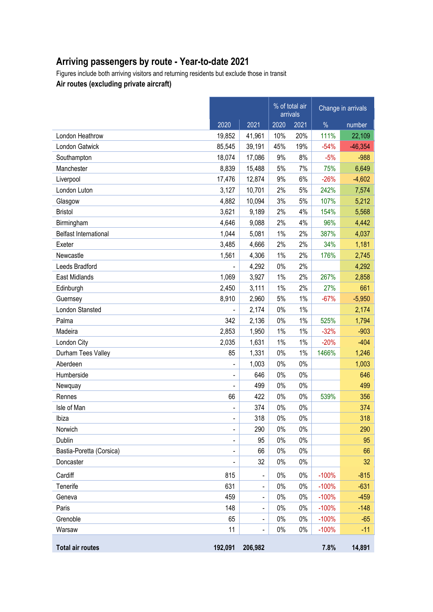# **Arriving passengers by route - Year-to-date 2021**

Figures include both arriving visitors and returning residents but exclude those in transit **Air routes (excluding private aircraft)**

|                              |                              |                          |       | % of total air<br>arrivals |         | Change in arrivals |
|------------------------------|------------------------------|--------------------------|-------|----------------------------|---------|--------------------|
|                              | 2020                         | 2021                     | 2020  | 2021                       | $\%$    | number             |
| London Heathrow              | 19,852                       | 41,961                   | 10%   | 20%                        | 111%    | 22,109             |
| London Gatwick               | 85,545                       | 39,191                   | 45%   | 19%                        | $-54%$  | $-46,354$          |
| Southampton                  | 18,074                       | 17,086                   | 9%    | 8%                         | $-5%$   | $-988$             |
| Manchester                   | 8,839                        | 15,488                   | 5%    | 7%                         | 75%     | 6,649              |
| Liverpool                    | 17,476                       | 12,874                   | 9%    | 6%                         | $-26%$  | $-4,602$           |
| London Luton                 | 3,127                        | 10,701                   | 2%    | 5%                         | 242%    | 7,574              |
| Glasgow                      | 4,882                        | 10,094                   | 3%    | 5%                         | 107%    | 5,212              |
| <b>Bristol</b>               | 3,621                        | 9,189                    | 2%    | 4%                         | 154%    | 5,568              |
| Birmingham                   | 4,646                        | 9,088                    | 2%    | 4%                         | 96%     | 4,442              |
| <b>Belfast International</b> | 1,044                        | 5,081                    | 1%    | 2%                         | 387%    | 4,037              |
| Exeter                       | 3,485                        | 4,666                    | 2%    | 2%                         | 34%     | 1,181              |
| Newcastle                    | 1,561                        | 4,306                    | 1%    | 2%                         | 176%    | 2,745              |
| Leeds Bradford               |                              | 4,292                    | 0%    | 2%                         |         | 4,292              |
| East Midlands                | 1,069                        | 3,927                    | $1\%$ | 2%                         | 267%    | 2,858              |
| Edinburgh                    | 2,450                        | 3,111                    | 1%    | 2%                         | 27%     | 661                |
| Guernsey                     | 8,910                        | 2,960                    | 5%    | 1%                         | $-67%$  | $-5,950$           |
| London Stansted              |                              | 2,174                    | 0%    | 1%                         |         | 2,174              |
| Palma                        | 342                          | 2,136                    | 0%    | 1%                         | 525%    | 1,794              |
| Madeira                      | 2,853                        | 1,950                    | 1%    | 1%                         | $-32%$  | $-903$             |
| London City                  | 2,035                        | 1,631                    | 1%    | 1%                         | $-20%$  | $-404$             |
| Durham Tees Valley           | 85                           | 1,331                    | 0%    | 1%                         | 1466%   | 1,246              |
| Aberdeen                     | $\blacksquare$               | 1,003                    | 0%    | 0%                         |         | 1,003              |
| Humberside                   | $\blacksquare$               | 646                      | 0%    | $0\%$                      |         | 646                |
| Newquay                      |                              | 499                      | 0%    | 0%                         |         | 499                |
| Rennes                       | 66                           | 422                      | 0%    | 0%                         | 539%    | 356                |
| Isle of Man                  | $\blacksquare$               | 374                      | 0%    | 0%                         |         | 374                |
| Ibiza                        | $\qquad \qquad \blacksquare$ | 318                      | 0%    | 0%                         |         | 318                |
| Norwich                      | $\qquad \qquad \blacksquare$ | 290                      | $0\%$ | 0%                         |         | 290                |
| Dublin                       | -                            | 95                       | 0%    | 0%                         |         | 95                 |
| Bastia-Poretta (Corsica)     | -                            | 66                       | 0%    | $0\%$                      |         | 66                 |
| Doncaster                    | $\qquad \qquad \blacksquare$ | 32                       | 0%    | 0%                         |         | 32                 |
| Cardiff                      | 815                          | $\overline{\phantom{0}}$ | $0\%$ | $0\%$                      | $-100%$ | $-815$             |
| Tenerife                     | 631                          | $\overline{\phantom{0}}$ | 0%    | $0\%$                      | $-100%$ | $-631$             |
| Geneva                       | 459                          |                          | 0%    | 0%                         | $-100%$ | $-459$             |
| Paris                        | 148                          | $\overline{\phantom{0}}$ | 0%    | $0\%$                      | $-100%$ | $-148$             |
| Grenoble                     | 65                           |                          | 0%    | $0\%$                      | $-100%$ | $-65$              |
| Warsaw                       | 11                           | $\overline{\phantom{0}}$ | 0%    | $0\%$                      | $-100%$ | $-11$              |
| <b>Total air routes</b>      | 192,091                      | 206,982                  |       |                            | 7.8%    | 14,891             |